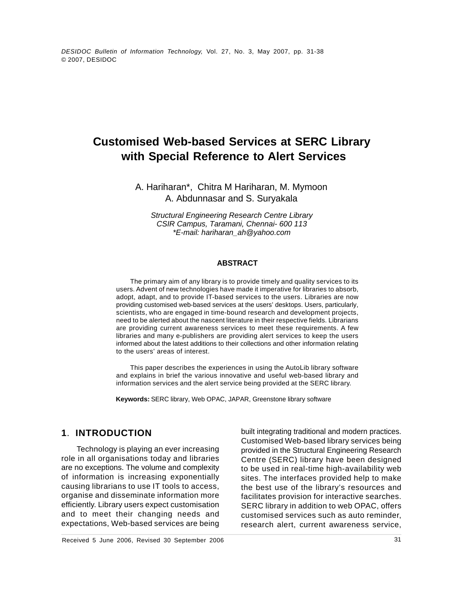DESIDOC Bulletin of Information Technology, Vol. 27, No. 3, May 2007, pp. 31-38 © 2007, DESIDOC

# **with Special Reference to Alert Services**

A. Hariharan\*, Chitra M Hariharan, M. Mymoon A. Abdunnasar and S. Suryakala

CSIR Campus, Taramani, Chennai- 600 113 \*E-mail: hariharan\_ah@yahoo.com

#### **ABSTRACT**

**Customised Web-based Services at SERC Library<br>
with Special Reference to Alert Services<br>
A. Hatiharan", Chitra M-Hatiharan, M. Mymoon<br>
A. Hatiharana", Chitra M-Hatiharan, M. Mymoon<br>
Soundar and S. Surge away in Services a** The primary aim of any library is to provide timely and quality services to its users. Advent of new technologies have made it imperative for libraries to absorb, adopt, adapt, and to provide IT-based services to the users. Libraries are now providing customised web-based services at the users' desktops. Users, particularly, scientists, who are engaged in time-bound research and development projects, need to be alerted about the nascent literature in their respective fields. Librarians are providing current awareness services to meet these requirements. A few libraries and many e-publishers are providing alert services to keep the users informed about the latest additions to their collections and other information relating to the users' areas of interest. Structural Engineering Research Centre Library<br>
CSIR Campus, Taramani, Chennai- 600 113<br>
"E-mail: hariharan\_ah @yahoo.com<br>
ABSTRACT<br>
The primary aim of any library is to provide timely and quality services to its<br>
users. A

This paper describes the experiences in using the AutoLib library software and explains in brief the various innovative and useful web-based library and

**Keywords:** SERC library, Web OPAC, JAPAR, Greenstone library software

of information is increasing exponentially

**1. INTRODUCTION** built integrating traditional and modern practices. Technology is playing an ever increasing provided in the Structural Engineering Research role in all organisations today and libraries Centre (SERC) library have been designed are no exceptions. The volume and complexity to be used in real-time high-availability web causing librarians to use IT tools to access, the best use of the library's resources and organise and disseminate information more facilitates provision for interactive searches. efficiently. Library users expect customisation SERC library in addition to web OPAC, offers and to meet their changing needs and customised services such as auto reminder, expectations, Web-based services are being built integrating traditional and modern practices. Customised Web-based library services being sites. The interfaces provided help to make

Received 5 June 2006, Revised 30 September 2006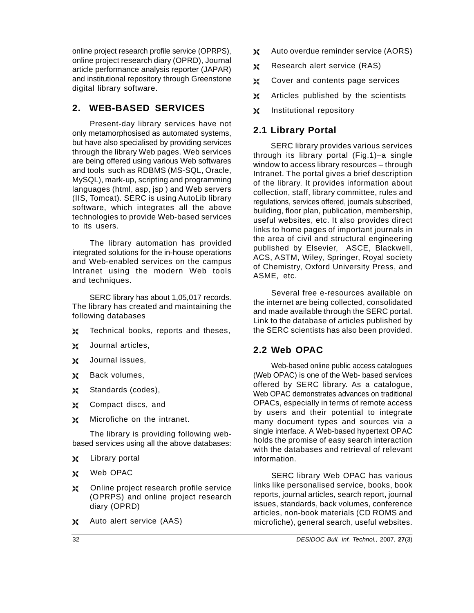online project research profile service (OPRPS),  $\aleph$ online project research diary (OPRD), Journal<br>orticle performance englysis reperter (JADAD) article performance analysis reporter (JAPAR) and institutional repository through Greenstone  $\aleph$ digital library software.

## **2. WEB-BASED SERVICES**

Present-day library services have not<br>metamorphosised as automated systems **2.1 Library Portal** only metamorphosised as automated systems, but have also specialised by providing services through the library Web pages. Web services are being offered using various Web softwares and tools such as RDBMS (MS-SQL, Oracle, MySQL), mark-up, scripting and programming languages (html, asp, jsp ) and Web servers (IIS, Tomcat). SERC is using AutoLib library software, which integrates all the above technologies to provide Web-based services

The library automation has provided integrated solutions for the in-house operations and Web-enabled services on the campus Intranet using the modern Web tools of Chemistry<br>and techniques and techniques. The contract of the contract of the contract of the contract of the contract of the contract of the contract of the contract of the contract of the contract of the contract of the contract of the contract o

 SERC library has about 1,05,017 records. The library has created and maintaining the

- ≫∢
- $\chi$ Journal articles, 2.2 Web OPAC
- Journal issues, Ж
- $\chi$
- ⊁
- X
- X

The library is providing following web based services using all the above databases:

- ※
- X
- Online project research profile service ≫ (OPRPS) and online project research
- ≫∢
- Auto overdue reminder service (AORS)
- Research alert service (RAS)
- Cover and contents page services
- Articles published by the scientists
- Institutional repository

#### **2.1 Library Portal**

to its users.<br>links to home pages of important journals in SERC library provides various services through its library portal (Fig.1)–a single window to access library resources– through Intranet. The portal gives a brief description of the library. It provides information about collection, staff, library committee, rules and regulations, services offered, journals subscribed, building, floor plan, publication, membership, useful websites, etc. It also provides direct the area of civil and structural engineering published by Elsevier, ASCE, Blackwell, ACS, ASTM, Wiley, Springer, Royal society of Chemistry, Oxford University Press, and ASME, etc.

following databases and the database and the search of the search of the search of the search of the search of the search of the search of the search of the search of the search of the search of the search of the search of Technical books, reports and theses, the SERC scientists has also been provided. Several free e-resources available on the internet are being collected, consolidated and made available through the SERC portal. Link to the database of articles published by

#### **2.2 Web OPAC**

Back volumes, (Web OPAC) is one of the Web- based services Standards (codes), web OPAC demonstrates advances on traditional Compact discs, and OPACs, especially in terms of remote access Microfiche on the intranet. The many document types and sources via a Library portal Web-based online public access catalogues offered by SERC library. As a catalogue, by users and their potential to integrate single interface. A Web-based hypertext OPAC holds the promise of easy search interaction with the databases and retrieval of relevant information.

Web OPAC CONTROL CONTROL SERCTIFICATION OP SERCTIFICATION OP A CONTROLLER CONTROLLER STRUCTURE diary (OPRD) issues, standards, back volumes, conference Auto alert service (AAS) microfiche), general search, useful websites.SERC library Web OPAC has various links like personalised service, books, book reports, journal articles, search report, journal articles, non-book materials (CD ROMS and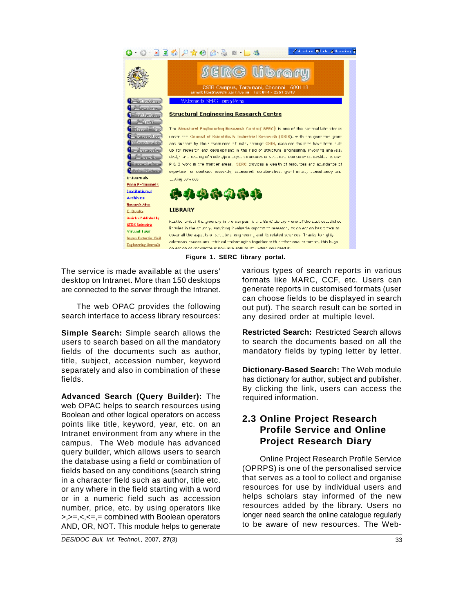

desktop on Intranet. More than 150 desktops are connected to the server through the Intranet.

search interface to access library resources:

**Simple Search:** Simple search allows the fields of the documents such as author, title, subject, accession number, keyword separately and also in combination of these

**Advanced Search (Query Builder):** The web OPAC helps to search resources using Boolean and other logical operators on access points like title, keyword, year, etc. on an<br>Intrenst environment from any where in the **Profile Service and Online** Intranet environment from any where in the **Example 3** Fitting Service and Official Anticampus. The Web module has advanced **Project Research Diary** query builder, which allows users to search the database using a field or combination of fields based on any conditions (search string in a character field such as author, title etc. or any where in the field starting with a word or in a numeric field such as accession number, price, etc. by using operators like >,>=,<,<=,= combined with Boolean operators bonder need search the online catalogue regularly<br>AND OR NOT This module belge to generate to be aware of new resources. The Web-AND, OR, NOT. This module helps to generate

The service is made available at the users' various types of search reports in various The web OPAC provides the following out put). The search result can be sorted in formats like MARC, CCF, etc. Users can generate reports in customised formats (user can choose fields to be displayed in search any desired order at multiple level.

users to search based on all the mandatory to search the documents based on all the **Restricted Search:** Restricted Search allows mandatory fields by typing letter by letter.

fields. has dictionary for author, subject and publisher. **Dictionary-Based Search:** The Web module By clicking the link, users can access the required information.

## **2.3 Online Project Research Profile Service and Online Project Research Diary**

Online Project Research Profile Service (OPRPS) is one of the personalised service that serves as a tool to collect and organise resources for use by individual users and helps scholars stay informed of the new resources added by the library. Users no longer need search the online catalogue regularly Figure 1. SERC library portal.<br>
to density formats like MARC, CCF, etc. Users can<br>
desktops<br>
formats like MARC, CCF, etc. Users can<br>
elentranet.<br>
following can choose fields to be displayed in search<br>
following can choose

DESIDOC Bull. Inf. Technol., 2007, **27**(3) 33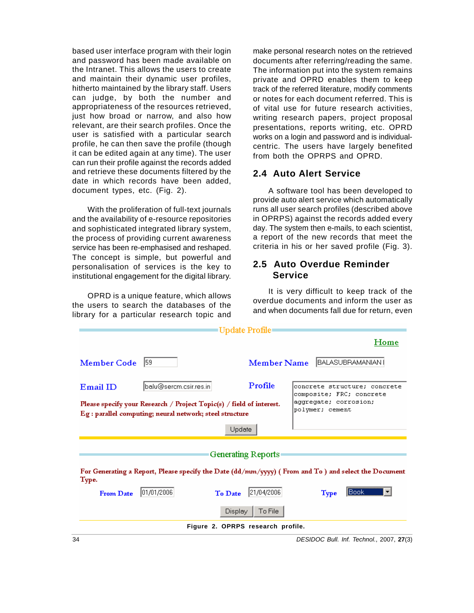and maintain their dynamic user profiles, appropriateness of the resources retrieved, just how broad or narrow, and also how relevant, are their search profiles. Once the profile, he can then save the profile (though it can be edited again at any time). The user from both the OPRPS and OPRD. can run their profile against the records added and retrieve these documents filtered by the **2.4 Auto Alert Service** date in which records have been added,

and the availability of e-resource repositories and sophisticated integrated library system, the process of providing current awareness service has been re-emphasised and reshaped. The concept is simple, but powerful and<br>personalization of corriese is the key to **2.5 Auto Overdue Reminder** personalisation of services is the key to institutional engagement for the digital library. **Service** 

OPRD is a unique feature, which allows the users to search the databases of the library for a particular research topic and

based user interface program with their login make personal research notes on the retrieved and password has been made available on documents after referring/reading the same. the Intranet. This allows the users to create The information put into the system remains hitherto maintained by the library staff. Users htrack of the referred literature, modify comments can judge, by both the number and or notes for each document referred. This is user is satisfied with a particular search works on a login and password and is individualprivate and OPRD enables them to keep of vital use for future research activities, writing research papers, project proposal presentations, reports writing, etc. OPRD centric. The users have largely benefited from both the OPRPS and OPRD.

#### **2.4 Auto Alert Service**

document types, etc. (Fig. 2). A software tool has been developed to With the proliferation of full-text journals runs all user search profiles (described above provide auto alert service which automatically in OPRPS) against the records added every day. The system then e-mails, to each scientist, a report of the new records that meet the criteria in his or her saved profile (Fig.3).

#### **2.5 Auto Overdue Reminder Service**

It is very difficult to keep track of the overdue documents and inform the user as and when documents fall due for return, even

|                | Update Profile                                                                                                                   |                                                          |
|----------------|----------------------------------------------------------------------------------------------------------------------------------|----------------------------------------------------------|
|                |                                                                                                                                  |                                                          |
| Member Code 59 | Member Name BALASUBRAMANIAN                                                                                                      |                                                          |
| Email ID       | Profile<br>balu@sercm.csir.res.in                                                                                                | concrete structure; concrete<br>composite; FRC; concrete |
|                | Please specify your Research / Project Topic(s) / field of interest.<br>Eg : parallel computing; neural network; steel structure | aggregate; corrosion;<br>polymer; cement                 |
|                | $Update$                                                                                                                         |                                                          |
|                | Generating Reports                                                                                                               |                                                          |
| Type.          | For Generating a Report, Please specify the Date (dd/mm/yyyy) (From and To ) and select the Document                             |                                                          |
|                | <b>From Date</b> $01/01/2006$<br>To Date $21/04/2006$                                                                            | $Type$ $\boxed{\text{Book} \quad \boxed{\text{I}}$       |
|                | Display   To File                                                                                                                |                                                          |
|                | Figure 2. OPRPS research profile.                                                                                                |                                                          |

34 DESIDOC Bull. Inf. Technol., 2007, **27**(3)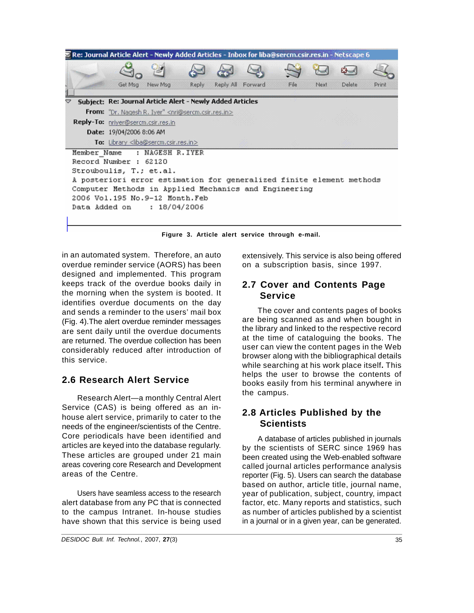

**Figure 3. Article alert service through e-mail.**

in an automated system. Therefore, an auto rextensively. This service is also being offered overdue reminder service (AORS) has been designed and implemented. This program keeps track of the overdue books daily in **2.7 Cover and Contents Page** the morning when the system is booted. It **Service** identifies overdue documents on the day and sends a reminder to the users' mail box (Fig. 4).The alert overdue reminder messages are sent daily until the overdue documents are returned. The overdue collection has been considerably reduced after introduction of this service. The contract of the contract of the contract of the contract of the contract of the contract of the contract of the contract of the contract of the contract of the contract of the contract of the contract of

## **2.6 Research Alert Service**

Research Alert—a monthly Central Alert Service (CAS) is being offered as an in house alert service, primarily to cater to the ED ALUSES needs of the engineer/scientists of the Centre. Core periodicals have been identified and articles are keyed into the database regularly. These articles are grouped under 21 main areas covering core Research and Development

to the campus Intranet. In-house studies have shown that this service is being used on a subscription basis, since 1997.

# **Service**

The cover and contents pages of books are being scanned as and when bought in the library and linked to the respective record at the time of cataloguing the books. The user can view the content pages in the Web browser along with the bibliographical details while searching at his work place itself**.** This helps the user to browse the contents of books easily from his terminal anywhere in the campus. The campus of the campus of the campus of the campus of the campus of the campus of the campus of the campus of the campus of the campus of the campus of the campus of the campus of the campus of the campus of

## **2.8 Articles Published by the Scientists**

areas of the Centre. The reporter (Fig. 5). Users can search the database Users have seamless access to the research year of publication, subject, country, impact alert database from any PC that is connected factor, etc. Many reports and statistics, such A database of articles published in journals by the scientists of SERC since 1969 has been created using the Web-enabled software called journal articles performance analysis based on author, article title, journal name, as number of articles published by a scientist in a journal or in a given year, can be generated.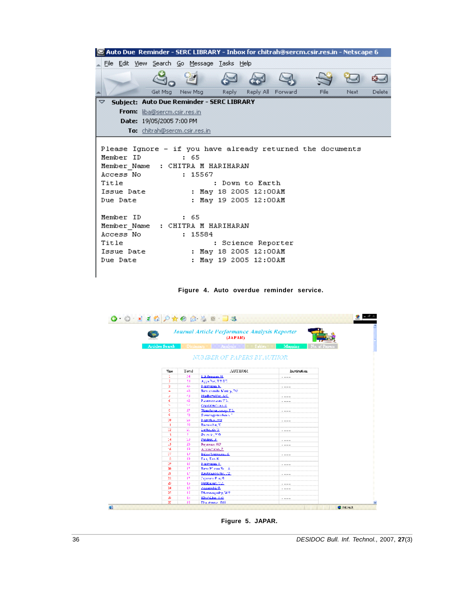| <b>Example:</b> Auto Due Reminder - SERC LIBRARY - Inbox for chitrah@sercm.csir.res.in - Netscape 6                                                                  |                                                                                                                                                                                                                                                                             |  |  |  |
|----------------------------------------------------------------------------------------------------------------------------------------------------------------------|-----------------------------------------------------------------------------------------------------------------------------------------------------------------------------------------------------------------------------------------------------------------------------|--|--|--|
| File Edit View Search Go Message Tasks Help                                                                                                                          |                                                                                                                                                                                                                                                                             |  |  |  |
|                                                                                                                                                                      |                                                                                                                                                                                                                                                                             |  |  |  |
| Get Msg<br>New Msg                                                                                                                                                   | Reply All Forward<br><b>Delete</b><br>File<br>Reply<br>Next                                                                                                                                                                                                                 |  |  |  |
| Subject: Auto Due Reminder - SERC LIBRARY<br>▽                                                                                                                       |                                                                                                                                                                                                                                                                             |  |  |  |
| <b>From:</b> liba@sercm.csir.res.in                                                                                                                                  |                                                                                                                                                                                                                                                                             |  |  |  |
| Date: 19/05/2005 7:00 PM                                                                                                                                             |                                                                                                                                                                                                                                                                             |  |  |  |
| To: chitrah@sercm.csir.res.in                                                                                                                                        |                                                                                                                                                                                                                                                                             |  |  |  |
| Member ID<br>5.65<br>Member Name<br>Access No<br>Title<br>Issue Date<br>Due Date<br>Member ID<br>5.65<br>Member Name<br>Access No<br>Title<br>Issue Date<br>Due Date | Please Ignore - if you have already returned the documents<br>: CHITRA M HARIHARAN<br>: 15567<br>: Down to Earth<br>: May 18 2005 12:00AM<br>: May 19 2005 12:00AM<br>: CHITRA M HARIHARAN<br>: 15584<br>: Science Reporter<br>: May 18 2005 12:00AM<br>May 19 2005 12:00AM |  |  |  |





**Figure 5. JAPAR.**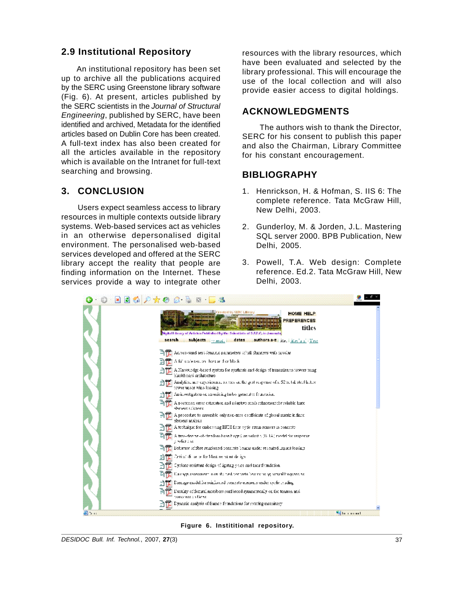#### **2.9 Institutional Repository**

An institutional repository has been set up to archive all the publications acquired by the SERC using Greenstone library software (Fig. 6). At present, articles published by the SERC scientists in the Journal of Structural<br>
Figures and the SERC house have a **ACKNOWLEDGMENTS** Engineering, published by SERC, have been identified and archived, Metadata for the identified A full-text index has also been created for all the articles available in the repository which is available on the Intranet for full-text searching and browsing. The contraction of the contract of  $\blacksquare$ 

Users expect seamless access to library New Delhi, 2003. resources in multiple contexts outside library systems. Web-based services act as vehicles in an otherwise depersonalised digital SQL server 2000. BPB Publication, New environment. The personalised web-based services developed and offered at the SERC finding information on the Internet. These services provide a way to integrate other Delhi, 2003.

resources with the library resources, which have been evaluated and selected by the library professional. This will encourage the use of the local collection and will also provide easier access to digital holdings.

#### **ACKNOWLEDGMENTS**

articles based on Dublin Core has been created. SERC for his consent to publish this paper The authors wish to thank the Director, and also the Chairman, Library Committee for his constant encouragement.

#### **BIBLIOGRAPHY**

- **3. CONCLUSION** 1. Henrickson, H. & Hofman, S. IIS 6: The complete reference. Tata McGraw Hill, New Delhi, 2003.
	- 2. Gunderloy, M. & Jorden, J.L. Mastering SQL server 2000. BPB Publication, New Delhi, 2005.
- library accept the reality that people are 3. Powell, T.A. Web design: Complete reference. Ed.2. Tata McGraw Hill, New Delhi, 2003.



**Figure 6. Instititional repository.**